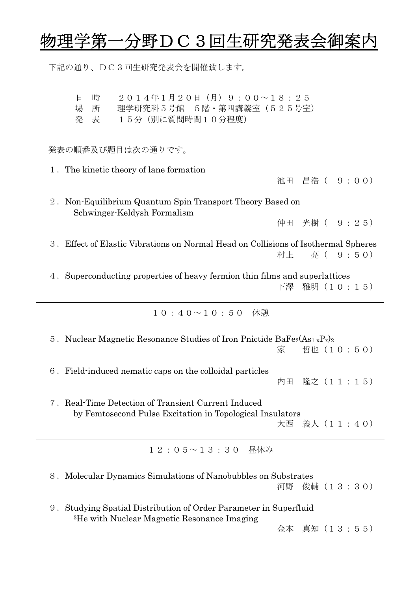## ↑野DC3回生研究発表会御

下記の通り、DC3回生研究発表会を開催致します。

日 時 2014年1月20日(月)9:00~18:25 場 所 理学研究科5号館 5階・第四講義室 (525号室) 発 表 15分(別に質問時間10分程度) 発表の順番及び題目は次の通りです。 1.The kinetic theory of lane formation 池田 昌浩( 9:00) 2.Non-Equilibrium Quantum Spin Transport Theory Based on Schwinger-Keldysh Formalism 仲田 光樹( 9:25) 3.Effect of Elastic Vibrations on Normal Head on Collisions of Isothermal Spheres 村上 亮( 9:50) 4.Superconducting properties of heavy fermion thin films and superlattices 下澤 雅明(10:15)  $10:40 \sim 10:50$  休憩 5. Nuclear Magnetic Resonance Studies of Iron Pnictide BaFe<sub>2</sub>(As<sub>1-x</sub>P<sub>x</sub>)<sub>2</sub> 家 哲也(10:50) 6.Field-induced nematic caps on the colloidal particles 内田 隆之(11:15) 7.Real-Time Detection of Transient Current Induced by Femtosecond Pulse Excitation in Topological Insulators 大西 義人(11:40) 12:05~13:30 昼休み 8. Molecular Dynamics Simulations of Nanobubbles on Substrates 河野 俊輔(13:30) 9.Studying Spatial Distribution of Order Parameter in Superfluid 3He with Nuclear Magnetic Resonance Imaging

金本 真知(13:55)